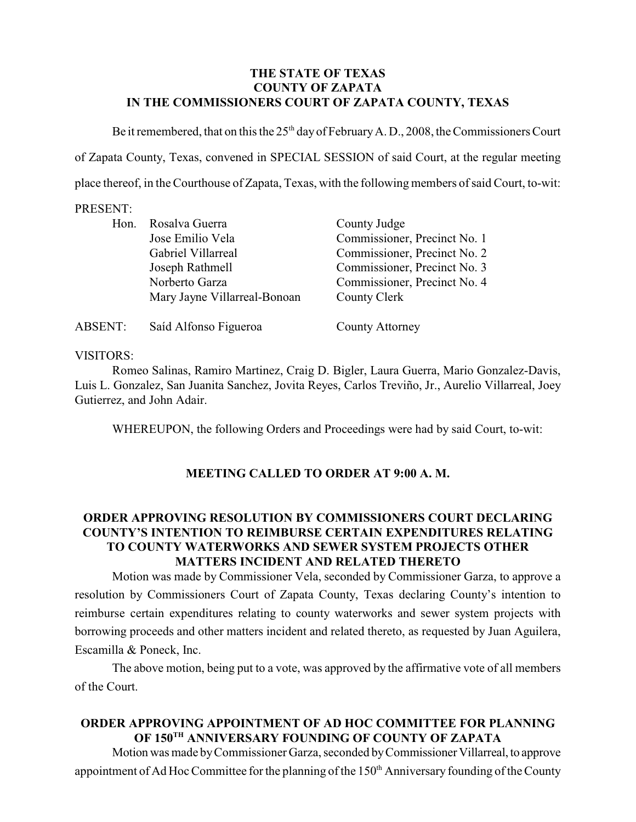### **THE STATE OF TEXAS COUNTY OF ZAPATA IN THE COMMISSIONERS COURT OF ZAPATA COUNTY, TEXAS**

Be it remembered, that on this the  $25<sup>th</sup>$  day of February A. D., 2008, the Commissioners Court of Zapata County, Texas, convened in SPECIAL SESSION of said Court, at the regular meeting place thereof, in the Courthouse of Zapata, Texas, with the followingmembers of said Court, to-wit:

#### PRESENT:

| Hon.    | Rosalva Guerra               | County Judge                 |
|---------|------------------------------|------------------------------|
|         | Jose Emilio Vela             | Commissioner, Precinct No. 1 |
|         | Gabriel Villarreal           | Commissioner, Precinct No. 2 |
|         | Joseph Rathmell              | Commissioner, Precinct No. 3 |
|         | Norberto Garza               | Commissioner, Precinct No. 4 |
|         | Mary Jayne Villarreal-Bonoan | County Clerk                 |
| ABSENT: | Saíd Alfonso Figueroa        | <b>County Attorney</b>       |

### VISITORS:

Romeo Salinas, Ramiro Martinez, Craig D. Bigler, Laura Guerra, Mario Gonzalez-Davis, Luis L. Gonzalez, San Juanita Sanchez, Jovita Reyes, Carlos Treviño, Jr., Aurelio Villarreal, Joey Gutierrez, and John Adair.

WHEREUPON, the following Orders and Proceedings were had by said Court, to-wit:

## **MEETING CALLED TO ORDER AT 9:00 A. M.**

# **ORDER APPROVING RESOLUTION BY COMMISSIONERS COURT DECLARING COUNTY'S INTENTION TO REIMBURSE CERTAIN EXPENDITURES RELATING TO COUNTY WATERWORKS AND SEWER SYSTEM PROJECTS OTHER MATTERS INCIDENT AND RELATED THERETO**

Motion was made by Commissioner Vela, seconded by Commissioner Garza, to approve a resolution by Commissioners Court of Zapata County, Texas declaring County's intention to reimburse certain expenditures relating to county waterworks and sewer system projects with borrowing proceeds and other matters incident and related thereto, as requested by Juan Aguilera, Escamilla & Poneck, Inc.

The above motion, being put to a vote, was approved by the affirmative vote of all members of the Court.

# **ORDER APPROVING APPOINTMENT OF AD HOC COMMITTEE FOR PLANNING** OF 150<sup>th</sup> ANNIVERSARY FOUNDING OF COUNTY OF ZAPATA

Motion was made by Commissioner Garza, seconded by Commissioner Villarreal, to approve appointment of Ad Hoc Committee for the planning of the 150<sup>th</sup> Anniversary founding of the County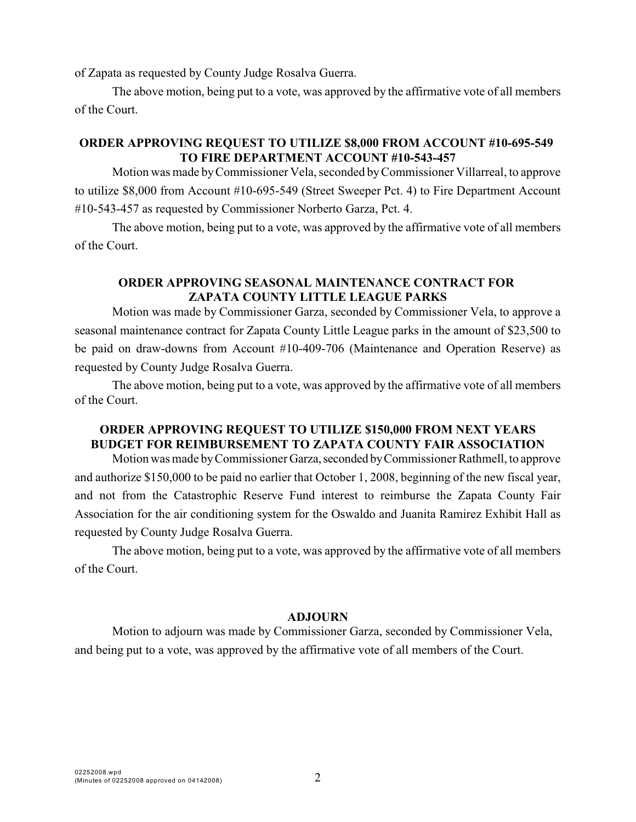of Zapata as requested by County Judge Rosalva Guerra.

The above motion, being put to a vote, was approved by the affirmative vote of all members of the Court.

### **ORDER APPROVING REQUEST TO UTILIZE \$8,000 FROM ACCOUNT #10-695-549 TO FIRE DEPARTMENT ACCOUNT #10-543-457**

Motion was made byCommissioner Vela, seconded by Commissioner Villarreal, to approve to utilize \$8,000 from Account #10-695-549 (Street Sweeper Pct. 4) to Fire Department Account #10-543-457 as requested by Commissioner Norberto Garza, Pct. 4.

The above motion, being put to a vote, was approved by the affirmative vote of all members of the Court.

### **ORDER APPROVING SEASONAL MAINTENANCE CONTRACT FOR ZAPATA COUNTY LITTLE LEAGUE PARKS**

Motion was made by Commissioner Garza, seconded by Commissioner Vela, to approve a seasonal maintenance contract for Zapata County Little League parks in the amount of \$23,500 to be paid on draw-downs from Account #10-409-706 (Maintenance and Operation Reserve) as requested by County Judge Rosalva Guerra.

The above motion, being put to a vote, was approved by the affirmative vote of all members of the Court.

# **ORDER APPROVING REQUEST TO UTILIZE \$150,000 FROM NEXT YEARS BUDGET FOR REIMBURSEMENT TO ZAPATA COUNTY FAIR ASSOCIATION**

Motion was made by Commissioner Garza, seconded by Commissioner Rathmell, to approve and authorize \$150,000 to be paid no earlier that October 1, 2008, beginning of the new fiscal year, and not from the Catastrophic Reserve Fund interest to reimburse the Zapata County Fair Association for the air conditioning system for the Oswaldo and Juanita Ramirez Exhibit Hall as requested by County Judge Rosalva Guerra.

The above motion, being put to a vote, was approved by the affirmative vote of all members of the Court.

#### **ADJOURN**

Motion to adjourn was made by Commissioner Garza, seconded by Commissioner Vela, and being put to a vote, was approved by the affirmative vote of all members of the Court.